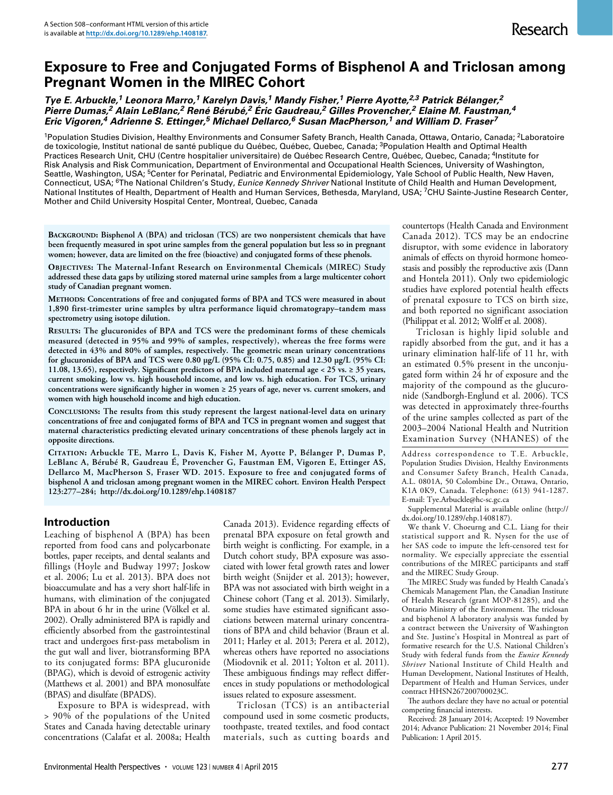# **Exposure to Free and Conjugated Forms of Bisphenol A and Triclosan among Pregnant Women in the MIREC Cohort**

*Tye E. Arbuckle,1 Leonora Marro,1 Karelyn Davis,1 Mandy Fisher,1 Pierre Ayotte,2,3 Patrick Bélanger,2 Pierre Dumas,2 Alain LeBlanc,2 René Bérubé,2 Éric Gaudreau,2 Gilles Provencher,2 Elaine M. Faustman,4 Eric Vigoren,4 Adrienne S. Ettinger,5 Michael Dellarco,6 Susan MacPherson,1 and William D. Fraser7*

<sup>1</sup>Population Studies Division, Healthy Environments and Consumer Safety Branch, Health Canada, Ottawa, Ontario, Canada; <sup>2</sup>Laboratoire de toxicologie, Institut national de santé publique du Québec, Québec, Quebec, Canada; <sup>3</sup>Population Health and Optimal Health Practices Research Unit, CHU (Centre hospitalier universitaire) de Québec Research Centre, Québec, Quebec, Canada; 4Institute for Risk Analysis and Risk Communication, Department of Environmental and Occupational Health Sciences, University of Washington, Seattle, Washington, USA; <sup>5</sup>Center for Perinatal, Pediatric and Environmental Epidemiology, Yale School of Public Health, New Haven, Connecticut, USA; 6The National Children's Study, *Eunice Kennedy Shriver* National Institute of Child Health and Human Development, National Institutes of Health, Department of Health and Human Services, Bethesda, Maryland, USA; <sup>7</sup>CHU Sainte-Justine Research Center, Mother and Child University Hospital Center, Montreal, Quebec, Canada

**Background: Bisphenol A (BPA) and triclosan (TCS) are two nonpersistent chemicals that have been frequently measured in spot urine samples from the general population but less so in pregnant women; however, data are limited on the free (bioactive) and conjugated forms of these phenols.**

**Objectives: The Maternal-Infant Research on Environmental Chemicals (MIREC) Study addressed these data gaps by utilizing stored maternal urine samples from a large multicenter cohort study of Canadian pregnant women.**

**Methods: Concentrations of free and conjugated forms of BPA and TCS were measured in about 1,890 first-trimester urine samples by ultra performance liquid chromatograpy–tandem mass spectrometry using isotope dilution.** 

**Results: The glucuronides of BPA and TCS were the predominant forms of these chemicals measured (detected in 95% and 99% of samples, respectively), whereas the free forms were detected in 43% and 80% of samples, respectively. The geometric mean urinary concentrations for glucuronides of BPA and TCS were 0.80 μg/L (95% CI: 0.75, 0.85) and 12.30 μg/L (95% CI: 11.08, 13.65), respectively. Significant predictors of BPA included maternal age < 25 vs. ≥ 35 years, current smoking, low vs. high household income, and low vs. high education. For TCS, urinary concentrations were significantly higher in women ≥ 25 years of age, never vs. current smokers, and women with high household income and high education.**

**Conclusions: The results from this study represent the largest national-level data on urinary concentrations of free and conjugated forms of BPA and TCS in pregnant women and suggest that maternal characteristics predicting elevated urinary concentrations of these phenols largely act in opposite directions.**

**Citation: Arbuckle TE, Marro L, Davis K, Fisher M, Ayotte P, Bélanger P, Dumas P, LeBlanc A, Bérubé R, Gaudreau É, Provencher G, Faustman EM, Vigoren E, Ettinger AS, Dellarco M, MacPherson S, Fraser WD. 2015. Exposure to free and conjugated forms of bisphenol A and triclosan among pregnant women in the MIREC cohort. Environ Health Perspect 123:277–284; http://dx.doi.org/10.1289/ehp.1408187**

## **Introduction**

Leaching of bisphenol A (BPA) has been reported from food cans and polycarbonate bottles, paper receipts, and dental sealants and fillings (Hoyle and Budway 1997; Joskow et al. 2006; Lu et al. 2013). BPA does not bioaccumulate and has a very short half-life in humans, with elimination of the conjugated BPA in about 6 hr in the urine (Völkel et al. 2002). Orally administered BPA is rapidly and efficiently absorbed from the gastrointestinal tract and undergoes first-pass metabolism in the gut wall and liver, biotransforming BPA to its conjugated forms: BPA glucuronide (BPAG), which is devoid of estrogenic activity (Matthews et al. 2001) and BPA monosulfate (BPAS) and disulfate (BPADS).

Exposure to BPA is widespread, with > 90% of the populations of the United States and Canada having detectable urinary concentrations (Calafat et al. 2008a; Health

Canada 2013). Evidence regarding effects of prenatal BPA exposure on fetal growth and birth weight is conflicting. For example, in a Dutch cohort study, BPA exposure was associated with lower fetal growth rates and lower birth weight (Snijder et al. 2013); however, BPA was not associated with birth weight in a Chinese cohort (Tang et al. 2013). Similarly, some studies have estimated significant associations between maternal urinary concentrations of BPA and child behavior (Braun et al. 2011; Harley et al. 2013; Perera et al. 2012), whereas others have reported no associations (Miodovnik et al. 2011; Yolton et al. 2011). These ambiguous findings may reflect differences in study populations or methodological issues related to exposure assessment.

Triclosan (TCS) is an antibacterial compound used in some cosmetic products, toothpaste, treated textiles, and food contact materials, such as cutting boards and countertops (Health Canada and Environment Canada 2012). TCS may be an endocrine disruptor, with some evidence in laboratory animals of effects on thyroid hormone homeostasis and possibly the reproductive axis (Dann and Hontela 2011). Only two epidemiologic studies have explored potential health effects of prenatal exposure to TCS on birth size, and both reported no significant association (Philippat et al. 2012; Wolff et al. 2008).

Triclosan is highly lipid soluble and rapidly absorbed from the gut, and it has a urinary elimination half-life of 11 hr, with an estimated 0.5% present in the unconjugated form within 24 hr of exposure and the majority of the compound as the glucuronide (Sandborgh-Englund et al. 2006). TCS was detected in approximately three-fourths of the urine samples collected as part of the 2003–2004 National Health and Nutrition Examination Survey (NHANES) of the

Address correspondence to T.E. Arbuckle, Population Studies Division, Healthy Environments and Consumer Safety Branch, Health Canada, A.L. 0801A, 50 Colombine Dr., Ottawa, Ontario, K1A 0K9, Canada. Telephone: (613) 941-1287. E-mail: Tye.Arbuckle@hc-sc.gc.ca

Supplemental Material is available online (http:// dx.doi.org/10.1289/ehp.1408187).

We thank V. Choeurng and C.L. Liang for their statistical support and R. Nysen for the use of her SAS code to impute the left-censored test for normality. We especially appreciate the essential contributions of the MIREC participants and staff and the MIREC Study Group.

The MIREC Study was funded by Health Canada's Chemicals Management Plan, the Canadian Institute of Health Research (grant MOP-81285), and the Ontario Ministry of the Environment. The triclosan and bisphenol A laboratory analysis was funded by a contract between the University of Washington and Ste. Justine's Hospital in Montreal as part of formative research for the U.S. National Children's Study with federal funds from the *Eunice Kennedy Shriver* National Institute of Child Health and Human Development, National Institutes of Health, Department of Health and Human Services, under contract HHSN267200700023C.

The authors declare they have no actual or potential competing financial interests.

Received: 28 January 2014; Accepted: 19 November 2014; Advance Publication: 21 November 2014; Final Publication: 1 April 2015.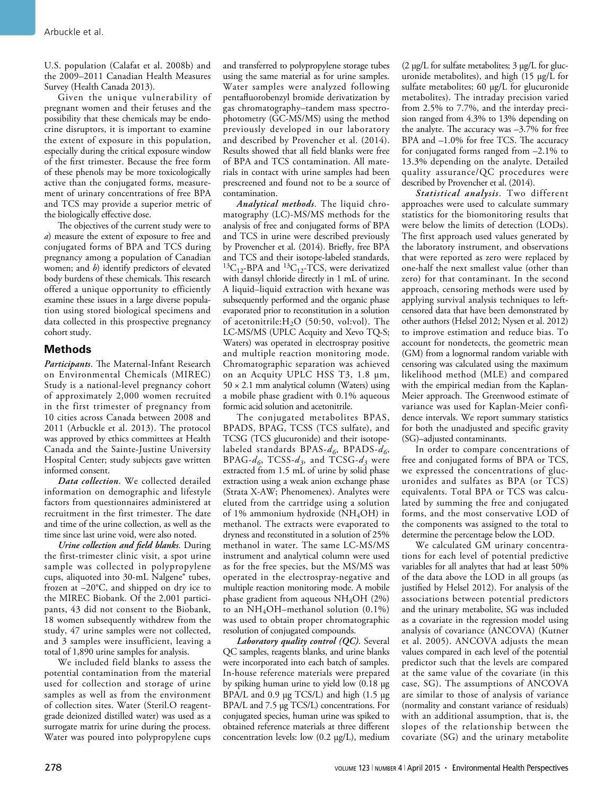U.S. population (Calafat et al. 2008b) and the 2009–2011 Canadian Health Measures Survey (Health Canada 2013).

Given the unique vulnerability of pregnant women and their fetuses and the possibility that these chemicals may be endocrine disruptors, it is important to examine the extent of exposure in this population, especially during the critical exposure window of the first trimester. Because the free form of these phenols may be more toxicologically active than the conjugated forms, measurement of urinary concentrations of free BPA and TCS may provide a superior metric of the biologically effective dose.

The objectives of the current study were to *a*) measure the extent of exposure to free and conjugated forms of BPA and TCS during pregnancy among a population of Canadian women; and *b*) identify predictors of elevated body burdens of these chemicals. This research offered a unique opportunity to efficiently examine these issues in a large diverse population using stored biological specimens and data collected in this prospective pregnancy cohort study.

## **Methods**

*Participants*. The Maternal-Infant Research on Environmental Chemicals (MIREC) Study is a national-level pregnancy cohort of approximately 2,000 women recruited in the first trimester of pregnancy from 10 cities across Canada between 2008 and 2011 (Arbuckle et al. 2013). The protocol was approved by ethics committees at Health Canada and the Sainte-Justine University Hospital Center; study subjects gave written informed consent.

*Data collection*. We collected detailed information on demographic and lifestyle factors from questionnaires administered at recruitment in the first trimester. The date and time of the urine collection, as well as the time since last urine void, were also noted.

*Urine collection and field blanks*. During the first-trimester clinic visit, a spot urine sample was collected in polypropylene cups, aliquoted into 30-mL Nalgene® tubes, frozen at –20°C, and shipped on dry ice to the MIREC Biobank. Of the 2,001 participants, 43 did not consent to the Biobank, 18 women subsequently withdrew from the study, 47 urine samples were not collected, and 3 samples were insufficient, leaving a total of 1,890 urine samples for analysis.

We included field blanks to assess the potential contamination from the material used for collection and storage of urine samples as well as from the environment of collection sites. Water (Steril.O reagentgrade deionized distilled water) was used as a surrogate matrix for urine during the process. Water was poured into polypropylene cups

and transferred to polypropylene storage tubes using the same material as for urine samples. Water samples were analyzed following pentafluorobenzyl bromide derivatization by gas chromatography–tandem mass spectrophotometry (GC-MS/MS) using the method previously developed in our laboratory and described by Provencher et al. (2014). Results showed that all field blanks were free of BPA and TCS contamination. All materials in contact with urine samples had been prescreened and found not to be a source of contamination.

*Analytical methods*. The liquid chromatography (LC)-MS/MS methods for the analysis of free and conjugated forms of BPA and TCS in urine were described previously by Provencher et al. (2014). Briefly, free BPA and TCS and their isotope-labeled standards,  ${}^{13}C_{12}$ -BPA and  ${}^{13}C_{12}$ -TCS, were derivatized with dansyl chloride directly in 1 mL of urine. A liquid–liquid extraction with hexane was subsequently performed and the organic phase evaporated prior to reconstitution in a solution of acetonitrile: $H<sub>2</sub>O$  (50:50, vol:vol). The LC-MS/MS (UPLC Acquity and Xevo TQ-S; Waters) was operated in electrospray positive and multiple reaction monitoring mode. Chromatographic separation was achieved on an Acquity UPLC HSS T3, 1.8 μm,  $50 \times 2.1$  mm analytical column (Waters) using a mobile phase gradient with 0.1% aqueous formic acid solution and acetonitrile.

The conjugated metabolites BPAS, BPADS, BPAG, TCSS (TCS sulfate), and TCSG (TCS glucuronide) and their isotopelabeled standards BPAS-*d6*, BPADS-*d6*, BPAG-*d6*, TCSS-*d3*, and TCSG-*d3* were extracted from 1.5 mL of urine by solid phase extraction using a weak anion exchange phase (Strata X-AW; Phenomenex). Analytes were eluted from the cartridge using a solution of 1% ammonium hydroxide (NH<sub>4</sub>OH) in methanol. The extracts were evaporated to dryness and reconstituted in a solution of 25% methanol in water. The same LC-MS/MS instrument and analytical column were used as for the free species, but the MS/MS was operated in the electrospray-negative and multiple reaction monitoring mode. A mobile phase gradient from aqueous  $NH<sub>4</sub>OH$  (2%) to an  $NH<sub>4</sub>OH$ –methanol solution (0.1%) was used to obtain proper chromatographic resolution of conjugated compounds.

*Laboratory quality control (QC)*. Several QC samples, reagents blanks, and urine blanks were incorporated into each batch of samples. In-house reference materials were prepared by spiking human urine to yield low (0.18 μg BPA/L and 0.9 μg TCS/L) and high (1.5 μg BPA/L and 7.5 μg TCS/L) concentrations. For conjugated species, human urine was spiked to obtained reference materials at three different concentration levels: low (0.2 μg/L), medium

(2 μg/L for sulfate metabolites; 3 μg/L for glucuronide metabolites), and high (15 μg/L for sulfate metabolites; 60 μg/L for glucuronide metabolites). The intraday precision varied from 2.5% to 7.7%, and the interday precision ranged from 4.3% to 13% depending on the analyte. The accuracy was –3.7% for free BPA and –1.0% for free TCS. The accuracy for conjugated forms ranged from –2.1% to 13.3% depending on the analyte. Detailed quality assurance/QC procedures were described by Provencher et al. (2014).

*Statistical analysis*. Two different approaches were used to calculate summary statistics for the biomonitoring results that were below the limits of detection (LODs). The first approach used values generated by the laboratory instrument, and observations that were reported as zero were replaced by one-half the next smallest value (other than zero) for that contaminant. In the second approach, censoring methods were used by applying survival analysis techniques to leftcensored data that have been demonstrated by other authors (Helsel 2012; Nysen et al. 2012) to improve estimation and reduce bias. To account for nondetects, the geometric mean (GM) from a lognormal random variable with censoring was calculated using the maximum likelihood method (MLE) and compared with the empirical median from the Kaplan-Meier approach. The Greenwood estimate of variance was used for Kaplan-Meier confidence intervals. We report summary statistics for both the unadjusted and specific gravity (SG)–adjusted contaminants.

In order to compare concentrations of free and conjugated forms of BPA or TCS, we expressed the concentrations of glucuronides and sulfates as BPA (or TCS) equivalents. Total BPA or TCS was calculated by summing the free and conjugated forms, and the most conservative LOD of the components was assigned to the total to determine the percentage below the LOD.

We calculated GM urinary concentrations for each level of potential predictive variables for all analytes that had at least 50% of the data above the LOD in all groups (as justified by Helsel 2012). For analysis of the associations between potential predictors and the urinary metabolite, SG was included as a covariate in the regression model using analysis of covariance (ANCOVA) (Kutner et al. 2005). ANCOVA adjusts the mean values compared in each level of the potential predictor such that the levels are compared at the same value of the covariate (in this case, SG). The assumptions of ANCOVA are similar to those of analysis of variance (normality and constant variance of residuals) with an additional assumption, that is, the slopes of the relationship between the covariate (SG) and the urinary metabolite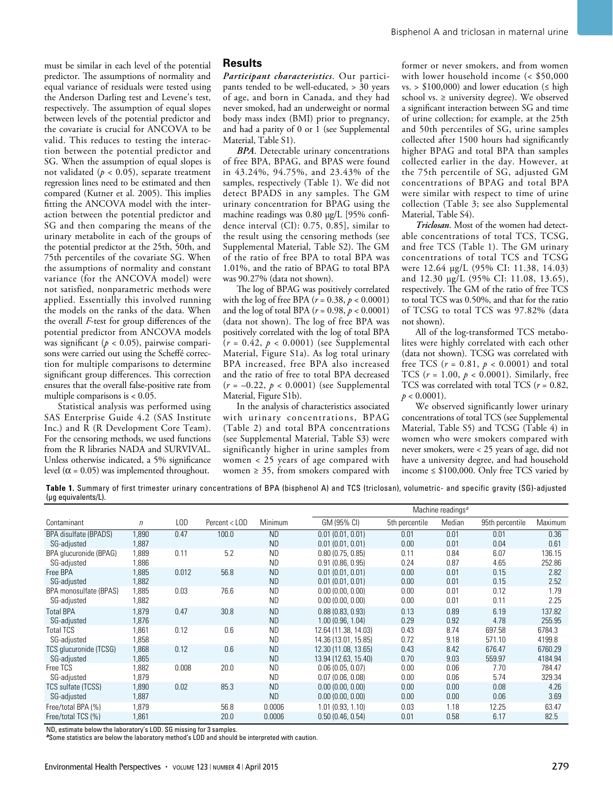must be similar in each level of the potential predictor. The assumptions of normality and equal variance of residuals were tested using the Anderson Darling test and Levene's test, respectively. The assumption of equal slopes between levels of the potential predictor and the covariate is crucial for ANCOVA to be valid. This reduces to testing the interaction between the potential predictor and SG. When the assumption of equal slopes is not validated ( $p < 0.05$ ), separate treatment regression lines need to be estimated and then compared (Kutner et al. 2005). This implies fitting the ANCOVA model with the interaction between the potential predictor and SG and then comparing the means of the urinary metabolite in each of the groups of the potential predictor at the 25th, 50th, and 75th percentiles of the covariate SG. When the assumptions of normality and constant variance (for the ANCOVA model) were not satisfied, nonparametric methods were applied. Essentially this involved running the models on the ranks of the data. When the overall *F*-test for group differences of the potential predictor from ANCOVA models was significant (*p* < 0.05), pairwise comparisons were carried out using the Scheffé correction for multiple comparisons to determine significant group differences. This correction ensures that the overall false-positive rate from multiple comparisons is < 0.05.

Statistical analysis was performed using SAS Enterprise Guide 4.2 (SAS Institute Inc.) and R (R Development Core Team). For the censoring methods, we used functions from the R libraries NADA and SURVIVAL. Unless otherwise indicated, a 5% significance level ( $\alpha$  = 0.05) was implemented throughout.

#### **Results**

*Participant characteristics*. Our participants tended to be well-educated, > 30 years of age, and born in Canada, and they had never smoked, had an underweight or normal body mass index (BMI) prior to pregnancy, and had a parity of 0 or 1 (see Supplemental Material, Table S1).

*BPA*. Detectable urinary concentrations of free BPA, BPAG, and BPAS were found in 43.24%, 94.75%, and 23.43% of the samples, respectively (Table 1). We did not detect BPADS in any samples. The GM urinary concentration for BPAG using the machine readings was 0.80 μg/L [95% confidence interval (CI): 0.75, 0.85], similar to the result using the censoring methods (see Supplemental Material, Table S2). The GM of the ratio of free BPA to total BPA was 1.01%, and the ratio of BPAG to total BPA was 90.27% (data not shown).

The log of BPAG was positively correlated with the log of free BPA (*r* = 0.38, *p* < 0.0001) and the log of total BPA (*r* = 0.98, *p* < 0.0001) (data not shown). The log of free BPA was positively correlated with the log of total BPA  $(r = 0.42, p < 0.0001)$  (see Supplemental Material, Figure S1a). As log total urinary BPA increased, free BPA also increased and the ratio of free to total BPA decreased (*r* = –0.22, *p* < 0.0001) (see Supplemental Material, Figure S1b).

In the analysis of characteristics associated with urinary concentrations, BPAG (Table 2) and total BPA concentrations (see Supplemental Material, Table S3) were significantly higher in urine samples from women < 25 years of age compared with women  $\geq$  35, from smokers compared with

former or never smokers, and from women with lower household income (< \$50,000 vs. >  $$100,000$  and lower education ( $\leq$  high school vs.  $\geq$  university degree). We observed a significant interaction between SG and time of urine collection; for example, at the 25th and 50th percentiles of SG, urine samples collected after 1500 hours had significantly higher BPAG and total BPA than samples collected earlier in the day. However, at the 75th percentile of SG, adjusted GM concentrations of BPAG and total BPA were similar with respect to time of urine collection (Table 3; see also Supplemental Material, Table S4).

*Triclosan*. Most of the women had detectable concentrations of total TCS, TCSG, and free TCS (Table 1). The GM urinary concentrations of total TCS and TCSG were 12.64 μg/L (95% CI: 11.38, 14.03) and 12.30 μg/L (95% CI: 11.08, 13.65), respectively. The GM of the ratio of free TCS to total TCS was 0.50%, and that for the ratio of TCSG to total TCS was 97.82% (data not shown).

All of the log-transformed TCS metabolites were highly correlated with each other (data not shown). TCSG was correlated with free TCS  $(r = 0.81, p < 0.0001)$  and total TCS  $(r = 1.00, p < 0.0001)$ . Similarly, free TCS was correlated with total TCS (*r* = 0.82,  $p < 0.0001$ ).

We observed significantly lower urinary concentrations of total TCS (see Supplemental Material, Table S5) and TCSG (Table 4) in women who were smokers compared with never smokers, were < 25 years of age, did not have a university degree, and had household income  $\leq$  \$100,000. Only free TCS varied by

**Table 1.** Summary of first trimester urinary concentrations of BPA (bisphenol A) and TCS (triclosan), volumetric- and specific gravity (SG)-adjusted (μg equivalents/L).

|                        |       |       |               |           |                      | Machine readings <sup>a</sup> |        |                 |         |  |
|------------------------|-------|-------|---------------|-----------|----------------------|-------------------------------|--------|-----------------|---------|--|
| Contaminant            | n     | LOD   | Percent < LOD | Minimum   | GM (95% CI)          | 5th percentile                | Median | 95th percentile | Maximum |  |
| BPA disulfate (BPADS)  | 1.890 | 0.47  | 100.0         | <b>ND</b> | 0.01(0.01, 0.01)     | 0.01                          | 0.01   | 0.01            | 0.36    |  |
| SG-adjusted            | 1,887 |       |               | <b>ND</b> | 0.01(0.01, 0.01)     | 0.00                          | 0.01   | 0.04            | 0.61    |  |
| BPA glucuronide (BPAG) | 1,889 | 0.11  | 5.2           | <b>ND</b> | 0.80(0.75, 0.85)     | 0.11                          | 0.84   | 6.07            | 136.15  |  |
| SG-adjusted            | 1,886 |       |               | <b>ND</b> | 0.91(0.86, 0.95)     | 0.24                          | 0.87   | 4.65            | 252.86  |  |
| Free BPA               | 1,885 | 0.012 | 56.8          | <b>ND</b> | 0.01(0.01, 0.01)     | 0.00                          | 0.01   | 0.15            | 2.82    |  |
| SG-adjusted            | 1.882 |       |               | <b>ND</b> | 0.01(0.01, 0.01)     | 0.00                          | 0.01   | 0.15            | 2.52    |  |
| BPA monosulfate (BPAS) | 1.885 | 0.03  | 76.6          | <b>ND</b> | 0.00(0.00, 0.00)     | 0.00                          | 0.01   | 0.12            | 1.79    |  |
| SG-adjusted            | 1,882 |       |               | <b>ND</b> | 0.00(0.00, 0.00)     | 0.00                          | 0.01   | 0.11            | 2.25    |  |
| <b>Total BPA</b>       | 1,879 | 0.47  | 30.8          | <b>ND</b> | 0.88(0.83, 0.93)     | 0.13                          | 0.89   | 6.19            | 137.82  |  |
| SG-adjusted            | 1,876 |       |               | <b>ND</b> | 1.00(0.96, 1.04)     | 0.29                          | 0.92   | 4.78            | 255.95  |  |
| <b>Total TCS</b>       | 1.861 | 0.12  | 0.6           | <b>ND</b> | 12.64 (11.38, 14.03) | 0.43                          | 8.74   | 697.58          | 6784.3  |  |
| SG-adjusted            | 1,858 |       |               | <b>ND</b> | 14.36 (13.01, 15.85) | 0.72                          | 9.18   | 571.10          | 4199.8  |  |
| TCS glucuronide (TCSG) | 1,868 | 0.12  | 0.6           | <b>ND</b> | 12.30 (11.08, 13.65) | 0.43                          | 8.42   | 676.47          | 6760.29 |  |
| SG-adjusted            | 1,865 |       |               | <b>ND</b> | 13.94 (12.63, 15.40) | 0.70                          | 9.03   | 559.97          | 4184.94 |  |
| Free TCS               | 1,882 | 0.008 | 20.0          | <b>ND</b> | 0.06(0.05, 0.07)     | 0.00                          | 0.06   | 7.70            | 784.47  |  |
| SG-adjusted            | 1,879 |       |               | <b>ND</b> | 0.07(0.06, 0.08)     | 0.00                          | 0.06   | 5.74            | 329.34  |  |
| TCS sulfate (TCSS)     | 1,890 | 0.02  | 85.3          | <b>ND</b> | 0.00(0.00, 0.00)     | 0.00                          | 0.00   | 0.08            | 4.26    |  |
| SG-adjusted            | 1,887 |       |               | <b>ND</b> | 0.00(0.00, 0.00)     | 0.00                          | 0.00   | 0.06            | 3.69    |  |
| Free/total BPA (%)     | 1,879 |       | 56.8          | 0.0006    | 1.01(0.93, 1.10)     | 0.03                          | 1.18   | 12.25           | 63.47   |  |
| Free/total TCS (%)     | 1,861 |       | 20.0          | 0.0006    | 0.50(0.46, 0.54)     | 0.01                          | 0.58   | 6.17            | 82.5    |  |

ND, estimate below the laboratory's LOD. SG missing for 3 samples.

*<sup>a</sup>*Some statistics are below the laboratory method's LOD and should be interpreted with caution.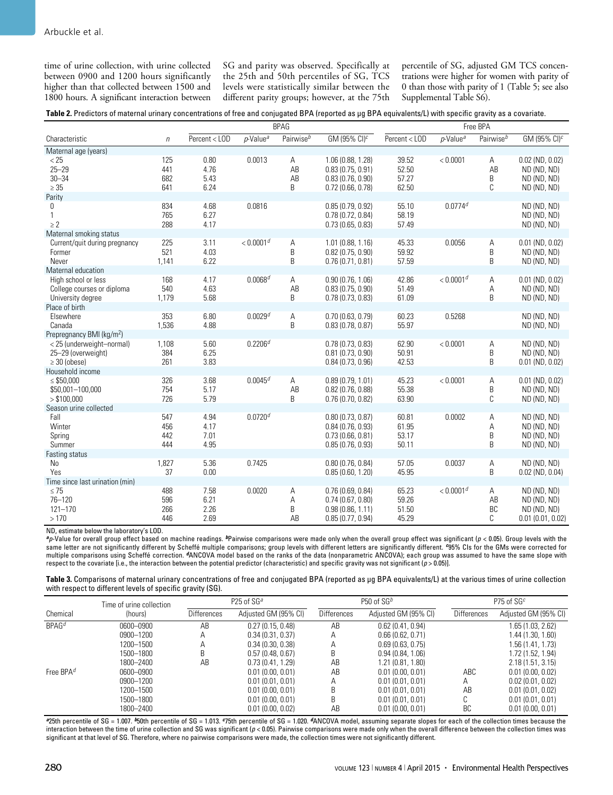time of urine collection, with urine collected between 0900 and 1200 hours significantly higher than that collected between 1500 and 1800 hours. A significant interaction between SG and parity was observed. Specifically at the 25th and 50th percentiles of SG, TCS levels were statistically similar between the different parity groups; however, at the 75th percentile of SG, adjusted GM TCS concentrations were higher for women with parity of 0 than those with parity of 1 (Table 5; see also Supplemental Table S6).

| Table 2. Predictors of maternal urinary concentrations of free and conjugated BPA (reported as µg BPA equivalents/L) with specific gravity as a covariate. |  |  |  |  |  |
|------------------------------------------------------------------------------------------------------------------------------------------------------------|--|--|--|--|--|
|------------------------------------------------------------------------------------------------------------------------------------------------------------|--|--|--|--|--|

|                                                                        | <b>BPAG</b>              |                              |                         |                       |                                                                               |                                  | Free BPA                |                       |                                                                   |  |
|------------------------------------------------------------------------|--------------------------|------------------------------|-------------------------|-----------------------|-------------------------------------------------------------------------------|----------------------------------|-------------------------|-----------------------|-------------------------------------------------------------------|--|
| Characteristic                                                         | $\eta$                   | Percent < LOD                | $p$ -Value <sup>a</sup> | Pairwise <sup>b</sup> | GM (95% CI) $c$                                                               | Percent < LOD                    | $p$ -Value <sup>a</sup> | Pairwise <sup>b</sup> | GM (95% CI) <sup>c</sup>                                          |  |
| Maternal age (years)                                                   |                          |                              |                         |                       |                                                                               |                                  |                         |                       |                                                                   |  |
| < 25<br>$25 - 29$<br>$30 - 34$<br>$\geq 35$                            | 125<br>441<br>682<br>641 | 0.80<br>4.76<br>5.43<br>6.24 | 0.0013                  | Α<br>AB<br>AB<br>R.   | 1.06 (0.88, 1.28)<br>0.83(0.75, 0.91)<br>0.83(0.76, 0.90)<br>0.72(0.66, 0.78) | 39.52<br>52.50<br>57.27<br>62.50 | < 0.0001                | Α<br>AB<br>B<br>C     | $0.02$ (ND, $0.02$ )<br>ND (ND, ND)<br>ND (ND, ND)<br>ND (ND, ND) |  |
| Parity                                                                 |                          |                              |                         |                       |                                                                               |                                  | $0.0774^{d}$            |                       |                                                                   |  |
| 0<br>1<br>$\geq 2$                                                     | 834<br>765<br>288        | 4.68<br>6.27<br>4.17         | 0.0816                  |                       | 0.85(0.79, 0.92)<br>0.78(0.72, 0.84)<br>0.73(0.65, 0.83)                      | 55.10<br>58.19<br>57.49          |                         |                       | ND (ND, ND)<br>ND (ND, ND)<br>ND (ND, ND)                         |  |
| Maternal smoking status                                                |                          |                              |                         |                       |                                                                               |                                  |                         |                       |                                                                   |  |
| Current/quit during pregnancy<br>Former<br>Never                       | 225<br>521<br>1,141      | 3.11<br>4.03<br>6.22         | < 0.0001 <sup>d</sup>   | Α<br>B<br>B           | 1.01 (0.88, 1.16)<br>0.82(0.75, 0.90)<br>0.76(0.71, 0.81)                     | 45.33<br>59.92<br>57.59          | 0.0056                  | Α<br>B<br>B           | $0.01$ (ND, $0.02$ )<br>ND (ND, ND)<br>ND (ND, ND)                |  |
| Maternal education                                                     |                          |                              |                         |                       |                                                                               |                                  |                         |                       |                                                                   |  |
| High school or less<br>College courses or diploma<br>University degree | 168<br>540<br>1,179      | 4.17<br>4.63<br>5.68         | $0.0068$ <sup>d</sup>   | Α<br>AB<br>B          | 0.90(0.76, 1.06)<br>0.83(0.75, 0.90)<br>0.78(0.73, 0.83)                      | 42.86<br>51.49<br>61.09          | < 0.0001 <sup>d</sup>   | Α<br>Α<br>B           | $0.01$ (ND, $0.02$ )<br>ND (ND, ND)<br>ND (ND, ND)                |  |
| Place of birth                                                         |                          |                              |                         |                       |                                                                               |                                  |                         |                       |                                                                   |  |
| Elsewhere<br>Canada                                                    | 353<br>1,536             | 6.80<br>4.88                 | 0.0029 <sup>d</sup>     | А<br>B                | 0.70(0.63, 0.79)<br>0.83(0.78, 0.87)                                          | 60.23<br>55.97                   | 0.5268                  |                       | ND (ND, ND)<br>ND (ND, ND)                                        |  |
| Prepregnancy BMI (kg/m <sup>2</sup> )                                  |                          |                              |                         |                       |                                                                               |                                  |                         |                       |                                                                   |  |
| < 25 (underweight-normal)<br>25-29 (overweight)<br>$\geq$ 30 (obese)   | 1,108<br>384<br>261      | 5.60<br>6.25<br>3.83         | 0.2206 <sup>d</sup>     |                       | 0.78(0.73, 0.83)<br>$0.81$ (0.73, 0.90)<br>0.84(0.73, 0.96)                   | 62.90<br>50.91<br>42.53          | < 0.0001                | Α<br>B<br>B           | ND (ND, ND)<br>ND (ND, ND)<br>$0.01$ (ND, $0.02$ )                |  |
| Household income                                                       |                          |                              |                         |                       |                                                                               |                                  |                         |                       |                                                                   |  |
| $\leq$ \$50,000<br>\$50,001-100,000<br>> \$100,000                     | 326<br>754<br>726        | 3.68<br>5.17<br>5.79         | $0.0045^{d}$            | Α<br>AB<br>B          | 0.89(0.79, 1.01)<br>0.82(0.76, 0.88)<br>0.76(0.70, 0.82)                      | 45.23<br>55.38<br>63.90          | < 0.0001                | Α<br>B<br>C           | $0.01$ (ND, $0.02$ )<br>ND (ND, ND)<br>ND (ND, ND)                |  |
| Season urine collected                                                 |                          |                              |                         |                       |                                                                               |                                  |                         |                       |                                                                   |  |
| Fall<br>Winter<br>Spring<br>Summer                                     | 547<br>456<br>442<br>444 | 4.94<br>4.17<br>7.01<br>4.95 | $0.0720$ <sup>d</sup>   |                       | 0.80(0.73, 0.87)<br>0.84(0.76, 0.93)<br>0.73(0.66, 0.81)<br>0.85(0.76, 0.93)  | 60.81<br>61.95<br>53.17<br>50.11 | 0.0002                  | Α<br>Α<br>B<br>B      | ND (ND, ND)<br>ND (ND, ND)<br>ND (ND, ND)<br>ND (ND, ND)          |  |
| Fasting status                                                         |                          |                              |                         |                       |                                                                               |                                  |                         |                       |                                                                   |  |
| No<br>Yes                                                              | 1,827<br>37              | 5.36<br>0.00                 | 0.7425                  |                       | 0.80(0.76, 0.84)<br>0.85(0.60, 1.20)                                          | 57.05<br>45.95                   | 0.0037                  | Α<br>B                | ND (ND, ND)<br>$0.02$ (ND, $0.04$ )                               |  |
| Time since last urination (min)                                        |                          |                              |                         |                       |                                                                               |                                  |                         |                       |                                                                   |  |
| $\leq 75$<br>76-120<br>$121 - 170$<br>>170                             | 488<br>596<br>266<br>446 | 7.58<br>6.21<br>2.26<br>2.69 | 0.0020                  | Α<br>Α<br>B<br>AB     | 0.76(0.69, 0.84)<br>0.74(0.67, 0.80)<br>0.98(0.86, 1.11)<br>0.85(0.77, 0.94)  | 65.23<br>59.26<br>51.50<br>45.29 | < 0.0001 <sup>d</sup>   | Α<br>AB<br>BC<br>C    | ND (ND, ND)<br>ND (ND, ND)<br>ND (ND, ND)<br>0.01(0.01, 0.02)     |  |

ND, estimate below the laboratory's LOD.

*<sup>a</sup>p*-Value for overall group effect based on machine readings. *b*Pairwise comparisons were made only when the overall group effect was significant (*p* < 0.05). Group levels with the same letter are not significantly different by Scheffé multiple comparisons; group levels with different letters are significantly different. *c*95% CIs for the GMs were corrected for multiple comparisons using Scheffé correction. *d*ANCOVA model based on the ranks of the data (nonparametric ANCOVA); each group was assumed to have the same slope with respect to the covariate [i.e., the interaction between the potential predictor (characteristic) and specific gravity was not significant (*p* > 0.05)].

**Table 3.** Comparisons of maternal urinary concentrations of free and conjugated BPA (reported as μg BPA equivalents/L) at the various times of urine collection with respect to different levels of specific gravity (SG).

|             | Time of urine collection |                    | P25 of SG <sup>a</sup> |             | P50 of $SGb$         | P75 of $SGc$       |                      |  |
|-------------|--------------------------|--------------------|------------------------|-------------|----------------------|--------------------|----------------------|--|
| Chemical    | (hours)                  | <b>Differences</b> | Adjusted GM (95% CI)   | Differences | Adjusted GM (95% CI) | <b>Differences</b> | Adjusted GM (95% CI) |  |
| $BPAG^d$    | 0600-0900                | AB                 | 0.27(0.15, 0.48)       | AB          | 0.62(0.41, 0.94)     |                    | 1.65 (1.03, 2.62)    |  |
|             | 0900-1200                | Α                  | 0.34(0.31, 0.37)       | Α           | 0.66(0.62, 0.71)     |                    | 1.44 (1.30, 1.60)    |  |
|             | 1200-1500                | Α                  | 0.34(0.30, 0.38)       | Α           | 0.69(0.63, 0.75)     |                    | 1.56 (1.41, 1.73)    |  |
|             | 1500-1800                | B                  | 0.57(0.48, 0.67)       |             | 0.94(0.84, 1.06)     |                    | 1.72 (1.52, 1.94)    |  |
|             | 1800-2400                | AB                 | 0.73(0.41, 1.29)       | AB          | 1.21(0.81, 1.80)     |                    | 2.18(1.51, 3.15)     |  |
| Free $BPAd$ | 0600-0900                |                    | 0.01(0.00, 0.01)       | AB          | 0.01(0.00, 0.01)     | ABC                | 0.01(0.00, 0.02)     |  |
|             | 0900-1200                |                    | 0.01(0.01, 0.01)       | А           | 0.01(0.01, 0.01)     | А                  | 0.02(0.01, 0.02)     |  |
|             | 1200-1500                |                    | 0.01(0.00, 0.01)       | B           | 0.01(0.01, 0.01)     | AB                 | 0.01(0.01, 0.02)     |  |
|             | 1500-1800                |                    | 0.01(0.00, 0.01)       |             | 0.01(0.01, 0.01)     | C                  | 0.01(0.01, 0.01)     |  |
|             | 1800-2400                |                    | 0.01(0.00, 0.02)       | AB          | 0.01(0.00, 0.01)     | BC                 | 0.01(0.00, 0.01)     |  |

*<sup>a</sup>*25th percentile of SG = 1.007. *b*50th percentile of SG = 1.013. *c*75th percentile of SG = 1.020. *d*ANCOVA model, assuming separate slopes for each of the collection times because the interaction between the time of urine collection and SG was significant (*p* < 0.05). Pairwise comparisons were made only when the overall difference between the collection times was significant at that level of SG. Therefore, where no pairwise comparisons were made, the collection times were not significantly different.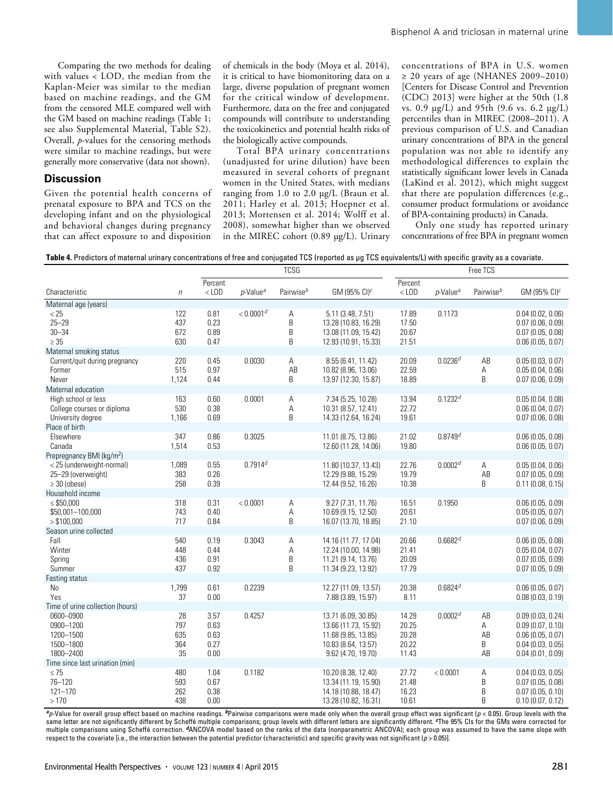Comparing the two methods for dealing with values < LOD, the median from the Kaplan-Meier was similar to the median based on machine readings, and the GM from the censored MLE compared well with the GM based on machine readings (Table 1; see also Supplemental Material, Table S2). Overall, *p*-values for the censoring methods were similar to machine readings, but were generally more conservative (data not shown).

#### **Discussion**

Given the potential health concerns of prenatal exposure to BPA and TCS on the developing infant and on the physiological and behavioral changes during pregnancy that can affect exposure to and disposition

of chemicals in the body (Moya et al. 2014), it is critical to have biomonitoring data on a large, diverse population of pregnant women for the critical window of development. Furthermore, data on the free and conjugated compounds will contribute to understanding the toxicokinetics and potential health risks of the biologically active compounds.

Total BPA urinary concentrations (unadjusted for urine dilution) have been measured in several cohorts of pregnant women in the United States, with medians ranging from 1.0 to 2.0 μg/L (Braun et al. 2011; Harley et al. 2013; Hoepner et al. 2013; Mortensen et al. 2014; Wolff et al. 2008), somewhat higher than we observed in the MIREC cohort (0.89 μg/L). Urinary concentrations of BPA in U.S. women ≥ 20 years of age (NHANES 2009–2010) [Centers for Disease Control and Prevention (CDC) 2013] were higher at the 50th (1.8 vs. 0.9 μg/L) and 95th (9.6 vs. 6.2 μg/L) percentiles than in MIREC (2008–2011). A previous comparison of U.S. and Canadian urinary concentrations of BPA in the general population was not able to identify any methodological differences to explain the statistically significant lower levels in Canada (LaKind et al. 2012), which might suggest that there are population differences (e.g., consumer product formulations or avoidance of BPA-containing products) in Canada.

Only one study has reported urinary concentrations of free BPA in pregnant women

**Table 4.** Predictors of maternal urinary concentrations of free and conjugated TCS (reported as μg TCS equivalents/L) with specific gravity as a covariate.

|                                                                                          |                               | <b>TCSG</b>                          |                         |                       | Free TCS                                                                                                        |                                           |                         |                          |                                                                                                  |
|------------------------------------------------------------------------------------------|-------------------------------|--------------------------------------|-------------------------|-----------------------|-----------------------------------------------------------------------------------------------------------------|-------------------------------------------|-------------------------|--------------------------|--------------------------------------------------------------------------------------------------|
| Characteristic                                                                           | $\eta$                        | Percent<br>$<$ LOD                   | $p$ -Value <sup>a</sup> | Pairwise <sup>b</sup> | GM (95% $Cl$ ) <sup>c</sup>                                                                                     | Percent<br>$<$ LOD                        | $p$ -Value <sup>a</sup> | Pairwise <sup>b</sup>    | GM (95% CI) $c$                                                                                  |
| Maternal age (years)                                                                     |                               |                                      |                         |                       |                                                                                                                 |                                           |                         |                          |                                                                                                  |
| < 25<br>$25 - 29$<br>$30 - 34$<br>$\geq 35$                                              | 122<br>437<br>672<br>630      | 0.81<br>0.23<br>0.89<br>0.47         | < 0.0001 <sup>d</sup>   | A<br>B<br>B<br>B      | 5.11 (3.48, 7.51)<br>13.28 (10.83, 16.29)<br>13.08 (11.09, 15.42)<br>12.93 (10.91, 15.33)                       | 17.89<br>17.50<br>20.67<br>21.51          | 0.1173                  |                          | 0.04(0.02, 0.06)<br>0.07(0.06, 0.09)<br>0.07(0.05, 0.08)<br>0.06(0.05, 0.07)                     |
| Maternal smoking status                                                                  |                               |                                      |                         |                       |                                                                                                                 |                                           |                         |                          |                                                                                                  |
| Current/quit during pregnancy<br>Former<br>Never                                         | 220<br>515<br>1,124           | 0.45<br>0.97<br>0.44                 | 0.0030                  | Α<br>AB<br>B          | 8.55 (6.41, 11.42)<br>10.82 (8.96, 13.06)<br>13.97 (12.30, 15.87)                                               | 20.09<br>22.59<br>18.89                   | $0.0236$ <sup>d</sup>   | AB<br>Α<br>B             | 0.05(0.03, 0.07)<br>0.05(0.04, 0.06)<br>0.07(0.06, 0.09)                                         |
| Maternal education                                                                       |                               |                                      | 0.0001                  |                       |                                                                                                                 |                                           | $0.1232^{d}$            |                          |                                                                                                  |
| High school or less<br>College courses or diploma<br>University degree<br>Place of birth | 163<br>530<br>1,166           | 0.60<br>0.38<br>0.69                 |                         | А<br>Α<br>B           | 7.34 (5.25, 10.28)<br>10.31 (8.57, 12.41)<br>14.33 (12.64, 16.24)                                               | 13.94<br>22.72<br>19.61                   |                         |                          | 0.05(0.04, 0.08)<br>0.06(0.04, 0.07)<br>0.07(0.06, 0.08)                                         |
| Elsewhere                                                                                | 347                           | 0.86                                 | 0.3025                  |                       | 11.01 (8.75, 13.86)                                                                                             | 21.02                                     | $0.8749$ <sup>d</sup>   |                          | 0.06(0.05, 0.08)                                                                                 |
| Canada                                                                                   | 1,514                         | 0.53                                 |                         |                       | 12.60 (11.28, 14.06)                                                                                            | 19.80                                     |                         |                          | 0.06(0.05, 0.07)                                                                                 |
| Prepregnancy BMI (kg/m <sup>2</sup> )                                                    |                               |                                      |                         |                       |                                                                                                                 |                                           |                         |                          |                                                                                                  |
| < 25 (underweight-normal)<br>25-29 (overweight)<br>$\geq$ 30 (obese)                     | 1,089<br>383<br>258           | 0.55<br>0.26<br>0.39                 | $0.7914^{d}$            |                       | 11.80 (10.37, 13.43)<br>12.29 (9.88, 15.29)<br>12.44 (9.52, 16.26)                                              | 22.76<br>19.79<br>10.38                   | 0.0002 <sup>d</sup>     | A<br>AB<br>B             | 0.05(0.04, 0.06)<br>0.07(0.05, 0.09)<br>0.11(0.08, 0.15)                                         |
| Household income                                                                         |                               |                                      |                         |                       |                                                                                                                 |                                           |                         |                          |                                                                                                  |
| $\leq$ \$50,000<br>\$50,001-100,000<br>> \$100,000                                       | 318<br>743<br>717             | 0.31<br>0.40<br>0.84                 | < 0.0001                | Α<br>A<br>B           | 9.27 (7.31, 11.76)<br>10.69 (9.15, 12.50)<br>16.07 (13.70, 18.85)                                               | 16.51<br>20.61<br>21.10                   | 0.1950                  |                          | 0.06(0.05, 0.09)<br>0.05(0.05, 0.07)<br>$0.07$ (0.06, 0.09)                                      |
| Season urine collected                                                                   |                               |                                      |                         |                       |                                                                                                                 |                                           |                         |                          |                                                                                                  |
| Fall<br>Winter<br>Spring<br>Summer                                                       | 540<br>448<br>436<br>437      | 0.19<br>0.44<br>0.91<br>0.92         | 0.3043                  | А<br>Α<br>B<br>B      | 14.16 (11.77, 17.04)<br>12.24 (10.00, 14.98)<br>11.21 (9.14, 13.76)<br>11.34 (9.23, 13.92)                      | 20.66<br>21.41<br>20.09<br>17.79          | 0.6682 <sup>d</sup>     |                          | 0.06(0.05, 0.08)<br>0.05(0.04, 0.07)<br>0.07(0.05, 0.09)<br>$0.07$ (0.05, 0.09)                  |
| Fasting status                                                                           |                               |                                      |                         |                       |                                                                                                                 |                                           |                         |                          |                                                                                                  |
| No<br>Yes                                                                                | 1,799<br>37                   | 0.61<br>0.00                         | 0.2239                  |                       | 12.27 (11.09, 13.57)                                                                                            | 20.38                                     | $0.6824^{d}$            |                          | 0.06(0.05, 0.07)                                                                                 |
| Time of urine collection (hours)                                                         |                               |                                      |                         |                       | 7.88 (3.89, 15.97)                                                                                              | 8.11                                      |                         |                          | 0.08(0.03, 0.19)                                                                                 |
| 0600-0900<br>0900-1200<br>1200-1500<br>1500-1800<br>1800-2400                            | 28<br>797<br>635<br>364<br>35 | 3.57<br>0.63<br>0.63<br>0.27<br>0.00 | 0.4257                  |                       | 13.71 (6.09, 30.85)<br>13.66 (11.73, 15.92)<br>11.68 (9.85, 13.85)<br>10.83 (8.64, 13.57)<br>9.62 (4.70, 19.70) | 14.29<br>20.25<br>20.28<br>20.22<br>11.43 | 0.0002 <sup>d</sup>     | AB<br>A<br>AB<br>B<br>AB | 0.09(0.03, 0.24)<br>0.09(0.07, 0.10)<br>0.06(0.05, 0.07)<br>0.04(0.03, 0.05)<br>0.04(0.01, 0.09) |
| Time since last urination (min)                                                          |                               |                                      |                         |                       |                                                                                                                 |                                           |                         |                          |                                                                                                  |
| $\leq 75$<br>$76 - 120$<br>$121 - 170$<br>>170                                           | 480<br>593<br>262<br>438      | 1.04<br>0.67<br>0.38<br>0.00         | 0.1182                  |                       | 10.20 (8.38, 12.40)<br>13.34 (11.19, 15.90)<br>14.18 (10.88, 18.47)<br>13.28 (10.82, 16.31)                     | 27.72<br>21.48<br>16.23<br>10.61          | < 0.0001                | Α<br>B<br>B<br>B         | 0.04(0.03, 0.05)<br>0.07(0.05, 0.08)<br>0.07(0.05, 0.10)<br>0.10(0.07, 0.12)                     |

 $a_p$ -Value for overall group effect based on machine readings.  $b_p$ Pairwise comparisons were made only when the overall group effect was significant ( $p$  < 0.05). Group levels with the same letter are not significantly different by Scheffé multiple comparisons; group levels with different letters are significantly different. *c*The 95% CIs for the GMs were corrected for multiple comparisons using Scheffé correction. *d*ANCOVA model based on the ranks of the data (nonparametric ANCOVA); each group was assumed to have the same slope with respect to the covariate [i.e., the interaction between the potential predictor (characteristic) and specific gravity was not significant (*p* > 0.05)].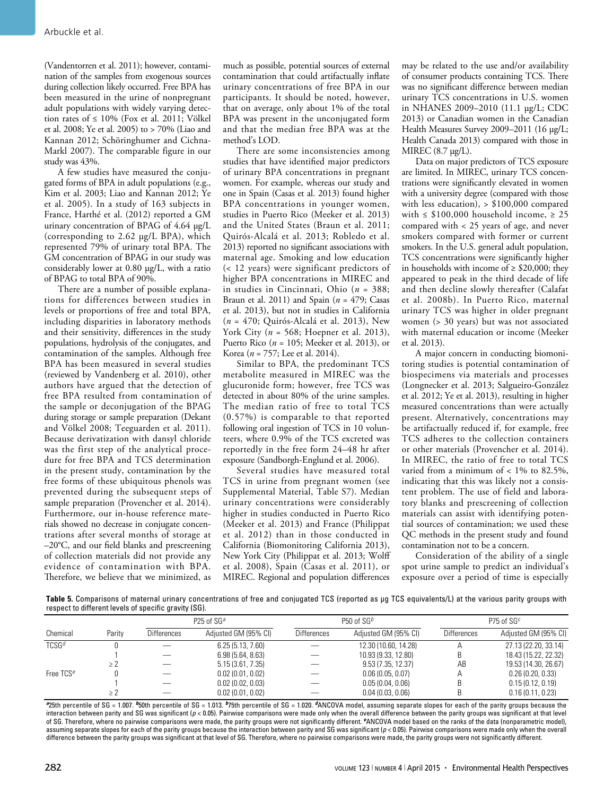(Vandentorren et al. 2011); however, contamination of the samples from exogenous sources during collection likely occurred. Free BPA has been measured in the urine of nonpregnant adult populations with widely varying detection rates of  $\leq 10\%$  (Fox et al. 2011; Völkel et al. 2008; Ye et al. 2005) to > 70% (Liao and Kannan 2012; Schöringhumer and Cichna-Markl 2007). The comparable figure in our study was 43%.

A few studies have measured the conjugated forms of BPA in adult populations (e.g., Kim et al. 2003; Liao and Kannan 2012; Ye et al. 2005). In a study of 163 subjects in France, Harthé et al. (2012) reported a GM urinary concentration of BPAG of 4.64 μg/L (corresponding to 2.62 μg/L BPA), which represented 79% of urinary total BPA. The GM concentration of BPAG in our study was considerably lower at 0.80 μg/L, with a ratio of BPAG to total BPA of 90%.

There are a number of possible explanations for differences between studies in levels or proportions of free and total BPA, including disparities in laboratory methods and their sensitivity, differences in the study populations, hydrolysis of the conjugates, and contamination of the samples. Although free BPA has been measured in several studies (reviewed by Vandenberg et al. 2010), other authors have argued that the detection of free BPA resulted from contamination of the sample or deconjugation of the BPAG during storage or sample preparation (Dekant and Völkel 2008; Teeguarden et al. 2011). Because derivatization with dansyl chloride was the first step of the analytical procedure for free BPA and TCS determination in the present study, contamination by the free forms of these ubiquitous phenols was prevented during the subsequent steps of sample preparation (Provencher et al. 2014). Furthermore, our in-house reference materials showed no decrease in conjugate concentrations after several months of storage at –20°C, and our field blanks and prescreening of collection materials did not provide any evidence of contamination with BPA. Therefore, we believe that we minimized, as

much as possible, potential sources of external contamination that could artifactually inflate urinary concentrations of free BPA in our participants. It should be noted, however, that on average, only about 1% of the total BPA was present in the unconjugated form and that the median free BPA was at the method's LOD.

There are some inconsistencies among studies that have identified major predictors of urinary BPA concentrations in pregnant women. For example, whereas our study and one in Spain (Casas et al. 2013) found higher BPA concentrations in younger women, studies in Puerto Rico (Meeker et al. 2013) and the United States (Braun et al. 2011; Quirós-Alcalá et al. 2013; Robledo et al. 2013) reported no significant associations with maternal age. Smoking and low education (< 12 years) were significant predictors of higher BPA concentrations in MIREC and in studies in Cincinnati, Ohio (*n* = 388; Braun et al. 2011) and Spain (*n* = 479; Casas et al. 2013), but not in studies in California (*n* = 470; Quirós-Alcalá et al. 2013), New York City (*n* = 568; Hoepner et al. 2013), Puerto Rico (*n* = 105; Meeker et al. 2013), or Korea (*n* = 757; Lee et al. 2014).

Similar to BPA, the predominant TCS metabolite measured in MIREC was the glucuronide form; however, free TCS was detected in about 80% of the urine samples. The median ratio of free to total TCS (0.57%) is comparable to that reported following oral ingestion of TCS in 10 volunteers, where 0.9% of the TCS excreted was reportedly in the free form 24–48 hr after exposure (Sandborgh-Englund et al. 2006).

Several studies have measured total TCS in urine from pregnant women (see Supplemental Material, Table S7). Median urinary concentrations were considerably higher in studies conducted in Puerto Rico (Meeker et al. 2013) and France (Philippat et al. 2012) than in those conducted in California (Biomonitoring California 2013), New York City (Philippat et al. 2013; Wolff et al. 2008), Spain (Casas et al. 2011), or MIREC. Regional and population differences may be related to the use and/or availability of consumer products containing TCS. There was no significant difference between median urinary TCS concentrations in U.S. women in NHANES 2009–2010 (11.1 μg/L; CDC 2013) or Canadian women in the Canadian Health Measures Survey 2009–2011 (16 μg/L; Health Canada 2013) compared with those in MIREC  $(8.7 \text{ µg/L})$ .

Data on major predictors of TCS exposure are limited. In MIREC, urinary TCS concentrations were significantly elevated in women with a university degree (compared with those with less education), > \$100,000 compared with  $\leq$  \$100,000 household income,  $\geq$  25 compared with < 25 years of age, and never smokers compared with former or current smokers. In the U.S. general adult population, TCS concentrations were significantly higher in households with income of ≥ \$20,000; they appeared to peak in the third decade of life and then decline slowly thereafter (Calafat et al. 2008b). In Puerto Rico, maternal urinary TCS was higher in older pregnant women (> 30 years) but was not associated with maternal education or income (Meeker et al. 2013).

A major concern in conducting biomonitoring studies is potential contamination of biospecimens via materials and processes (Longnecker et al. 2013; Salgueiro-González et al. 2012; Ye et al. 2013), resulting in higher measured concentrations than were actually present. Alternatively, concentrations may be artifactually reduced if, for example, free TCS adheres to the collection containers or other materials (Provencher et al. 2014). In MIREC, the ratio of free to total TCS varied from a minimum of  $< 1\%$  to 82.5%, indicating that this was likely not a consistent problem. The use of field and laboratory blanks and prescreening of collection materials can assist with identifying potential sources of contamination; we used these QC methods in the present study and found contamination not to be a concern.

Consideration of the ability of a single spot urine sample to predict an individual's exposure over a period of time is especially

**Table 5.** Comparisons of maternal urinary concentrations of free and conjugated TCS (reported as μg TCS equivalents/L) at the various parity groups with respect to different levels of specific gravity (SG).

|                       |          |                    | P25 of $SGa$         |                    | P50 of $SGb$         |                    | P75 of $SGc$         |  |  |
|-----------------------|----------|--------------------|----------------------|--------------------|----------------------|--------------------|----------------------|--|--|
| Chemical              | Parity   | <b>Differences</b> | Adjusted GM (95% CI) | <b>Differences</b> | Adjusted GM (95% CI) | <b>Differences</b> | Adjusted GM (95% CI) |  |  |
| TCSG <sup>d</sup>     |          |                    | 6.25(5.13, 7.60)     |                    | 12.30 (10.60, 14.28) |                    | 27.13 (22.20, 33.14) |  |  |
|                       |          |                    | 6.98(5.64, 8.63)     |                    | 10.93 (9.33, 12.80)  |                    | 18.43 (15.22, 22.32) |  |  |
|                       | $\geq$ 2 |                    | 5.15(3.61, 7.35)     |                    | 9.53(7.35, 12.37)    | AB                 | 19.53 (14.30, 26.67) |  |  |
| Free TCS <sup>e</sup> |          |                    | 0.02(0.01, 0.02)     |                    | 0.06(0.05, 0.07)     |                    | 0.26(0.20, 0.33)     |  |  |
|                       |          |                    | 0.02(0.02, 0.03)     |                    | 0.05(0.04, 0.06)     |                    | 0.15(0.12, 0.19)     |  |  |
|                       |          |                    | 0.02(0.01, 0.02)     |                    | 0.04(0.03, 0.06)     |                    | 0.16(0.11, 0.23)     |  |  |

*<sup>a</sup>*25th percentile of SG = 1.007. *b*50th percentile of SG = 1.013. *b*75th percentile of SG = 1.020. *d*ANCOVA model, assuming separate slopes for each of the parity groups because the interaction between parity and SG was significant (*p* < 0.05). Pairwise comparisons were made only when the overall difference between the parity groups was significant at that level of SG. Therefore, where no pairwise comparisons were made, the parity groups were not significantly different. *e*ANCOVA model based on the ranks of the data (nonparametric model), assuming separate slopes for each of the parity groups because the interaction between parity and SG was significant (*p* < 0.05). Pairwise comparisons were made only when the overall difference between the parity groups was significant at that level of SG. Therefore, where no pairwise comparisons were made, the parity groups were not significantly different.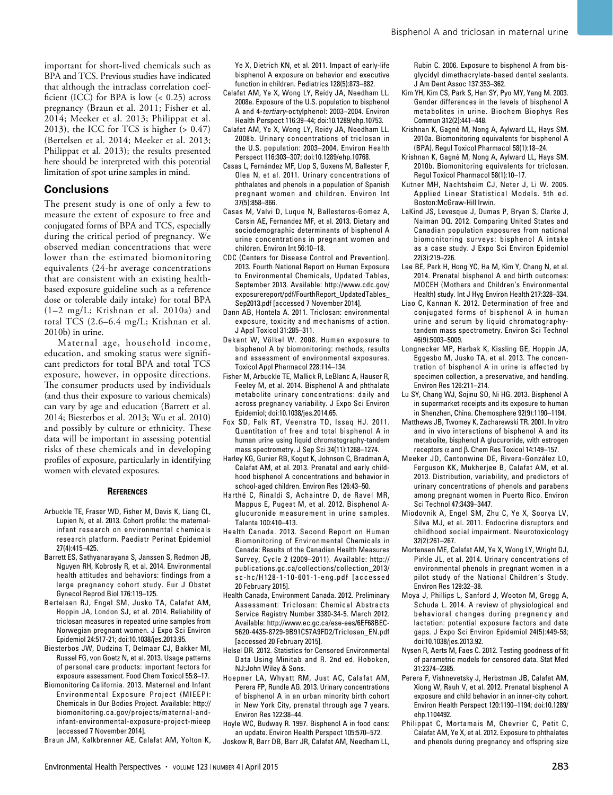important for short-lived chemicals such as BPA and TCS. Previous studies have indicated that although the intraclass correlation coefficient (ICC) for BPA is low  $( $0.25$ ) across$ pregnancy (Braun et al. 2011; Fisher et al. 2014; Meeker et al. 2013; Philippat et al. 2013), the ICC for TCS is higher  $(> 0.47)$ (Bertelsen et al. 2014; Meeker et al. 2013; Philippat et al. 2013); the results presented here should be interpreted with this potential limitation of spot urine samples in mind.

### **Conclusions**

The present study is one of only a few to measure the extent of exposure to free and conjugated forms of BPA and TCS, especially during the critical period of pregnancy. We observed median concentrations that were lower than the estimated biomonitoring equivalents (24-hr average concentrations that are consistent with an existing healthbased exposure guideline such as a reference dose or tolerable daily intake) for total BPA (1–2 mg/L; Krishnan et al. 2010a) and total TCS (2.6–6.4 mg/L; Krishnan et al. 2010b) in urine.

Maternal age, household income, education, and smoking status were significant predictors for total BPA and total TCS exposure, however, in opposite directions. The consumer products used by individuals (and thus their exposure to various chemicals) can vary by age and education (Barrett et al. 2014; Biesterbos et al. 2013; Wu et al. 2010) and possibly by culture or ethnicity. These data will be important in assessing potential risks of these chemicals and in developing profiles of exposure, particularly in identifying women with elevated exposures.

#### **References**

- Arbuckle TE, Fraser WD, Fisher M, Davis K, Liang CL, Lupien N, et al. 2013. Cohort profile: the maternalinfant research on environmental chemicals research platform. Paediatr Perinat Epidemiol 27(4):415–425.
- Barrett ES, Sathyanarayana S, Janssen S, Redmon JB, Nguyen RH, Kobrosly R, et al. 2014. Environmental health attitudes and behaviors: findings from a large pregnancy cohort study. Eur J Obstet Gynecol Reprod Biol 176:119–125.
- Bertelsen RJ, Engel SM, Jusko TA, Calafat AM, Hoppin JA, London SJ, et al. 2014. Reliability of triclosan measures in repeated urine samples from Norwegian pregnant women. J Expo Sci Environ Epidemiol 24:517-21; doi:10.1038/jes.2013.95.
- Biesterbos JW, Dudzina T, Delmaar CJ, Bakker MI, Russel FG, von Goetz N, et al. 2013. Usage patterns of personal care products: important factors for exposure assessment. Food Chem Toxicol 55:8–17.
- Biomonitoring California. 2013. Maternal and Infant Environmental Exposure Project (MIEEP): Chemicals in Our Bodies Project. Available: http:// biomonitoring.ca.gov/projects/maternal-andinfant-environmental-exposure-project-mieep [accessed 7 November 2014].

Braun JM, Kalkbrenner AE, Calafat AM, Yolton K,

Ye X, Dietrich KN, et al. 2011. Impact of early-life bisphenol A exposure on behavior and executive function in children. Pediatrics 128(5):873–882.

- Calafat AM, Ye X, Wong LY, Reidy JA, Needham LL. 2008a. Exposure of the U.S. population to bisphenol A and 4-*tertiary*-octylphenol: 2003–2004. Environ Health Perspect 116:39–44; doi:10.1289/ehp.10753.
- Calafat AM, Ye X, Wong LY, Reidy JA, Needham LL. 2008b. Urinary concentrations of triclosan in the U.S. population: 2003–2004. Environ Health Perspect 116:303–307; doi:10.1289/ehp.10768.
- Casas L, Fernández MF, Llop S, Guxens M, Ballester F, Olea N, et al. 2011. Urinary concentrations of phthalates and phenols in a population of Spanish pregnant women and children. Environ Int 37(5):858–866.
- Casas M, Valvi D, Luque N, Ballesteros-Gomez A, Carsin AE, Fernandez MF, et al. 2013. Dietary and sociodemographic determinants of bisphenol A urine concentrations in pregnant women and children. Environ Int 56:10–18.
- CDC (Centers for Disease Control and Prevention). 2013. Fourth National Report on Human Exposure to Environmental Chemicals, Updated Tables, September 2013. Available: http://www.cdc.gov/ exposurereport/pdf/FourthReport\_UpdatedTables\_ Sep2013.pdf [accessed 7 November 2014].
- Dann AB, Hontela A. 2011. Triclosan: environmental exposure, toxicity and mechanisms of action. J Appl Toxicol 31:285–311.
- Dekant W, Völkel W. 2008. Human exposure to bisphenol A by biomonitoring: methods, results and assessment of environmental exposures. Toxicol Appl Pharmacol 228:114–134.
- Fisher M, Arbuckle TE, Mallick R, LeBlanc A, Hauser R, Feeley M, et al. 2014. Bisphenol A and phthalate metabolite urinary concentrations: daily and across pregnancy variability. J Expo Sci Environ Epidemiol; doi:10.1038/jes.2014.65.
- Fox SD, Falk RT, Veenstra TD, Issaq HJ. 2011. Quantitation of free and total bisphenol A in human urine using liquid chromatography-tandem mass spectrometry. J Sep Sci 34(11):1268–1274.
- Harley KG, Gunier RB, Kogut K, Johnson C, Bradman A, Calafat AM, et al. 2013. Prenatal and early childhood bisphenol A concentrations and behavior in school-aged children. Environ Res 126:43–50.
- Harthé C, Rinaldi S, Achaintre D, de Ravel MR, Mappus E, Pugeat M, et al. 2012. Bisphenol Aglucuronide measurement in urine samples. Talanta 100:410–413.
- Health Canada. 2013. Second Report on Human Biomonitoring of Environmental Chemicals in Canada: Results of the Canadian Health Measures Survey, Cycle 2 (2009–2011). Available: http:// publications.gc.ca/collections/collection\_2013/ sc-hc/H128-1-10-601-1-eng.pdf [accessed 20 February 2015].
- Health Canada, Environment Canada. 2012. Preliminary Assessment: Triclosan: Chemical Abstracts Service Registry Number 3380-34-5. March 2012. Available: http://www.ec.gc.ca/ese-ees/6EF68BEC-5620-4435-8729-9B91C57A9FD2/Triclosan\_EN.pdf [accessed 20 February 2015].
- Helsel DR. 2012. Statistics for Censored Environmental Data Using Minitab and R. 2nd ed. Hoboken, NJ:John Wiley & Sons.
- Hoepner LA, Whyatt RM, Just AC, Calafat AM, Perera FP, Rundle AG. 2013. Urinary concentrations of bisphenol A in an urban minority birth cohort in New York City, prenatal through age 7 years. Environ Res 122:38–44.
- Hoyle WC, Budway R. 1997. Bisphenol A in food cans: an update. Environ Health Perspect 105:570–572.

Joskow R, Barr DB, Barr JR, Calafat AM, Needham LL,

Rubin C. 2006. Exposure to bisphenol A from bisglycidyl dimethacrylate-based dental sealants. J Am Dent Assoc 137:353–362.

- Kim YH, Kim CS, Park S, Han SY, Pyo MY, Yang M. 2003. Gender differences in the levels of bisphenol A metabolites in urine. Biochem Biophys Res Commun 312(2):441–448.
- Krishnan K, Gagné M, Nong A, Aylward LL, Hays SM. 2010a. Biomonitoring equivalents for bisphenol A (BPA). Regul Toxicol Pharmacol 58(1):18–24.
- Krishnan K, Gagné M, Nong A, Aylward LL, Hays SM. 2010b. Biomonitoring equivalents for triclosan. Regul Toxicol Pharmacol 58(1):10–17.
- Kutner MH, Nachtsheim CJ, Neter J, Li W. 2005. Applied Linear Statistical Models. 5th ed. Boston:McGraw-Hill Irwin.
- LaKind JS, Levesque J, Dumas P, Bryan S, Clarke J, Naiman DQ. 2012. Comparing United States and Canadian population exposures from national biomonitoring surveys: bisphenol A intake as a case study. J Expo Sci Environ Epidemiol 22(3):219–226.
- Lee BE, Park H, Hong YC, Ha M, Kim Y, Chang N, et al. 2014. Prenatal bisphenol A and birth outcomes: MOCEH (Mothers and Children's Environmental Health) study. Int J Hyg Environ Health 217:328–334.
- Liao C, Kannan K. 2012. Determination of free and conjugated forms of bisphenol A in human urine and serum by liquid chromatographytandem mass spectrometry. Environ Sci Technol 46(9):5003–5009.
- Longnecker MP, Harbak K, Kissling GE, Hoppin JA, Eggesbo M, Jusko TA, et al. 2013. The concentration of bisphenol A in urine is affected by specimen collection, a preservative, and handling. Environ Res 126:211–214.
- Lu SY, Chang WJ, Sojinu SO, Ni HG. 2013. Bisphenol A in supermarket receipts and its exposure to human in Shenzhen, China. Chemosphere 92(9):1190–1194.
- Matthews JB, Twomey K, Zacharewski TR. 2001. In vitro and in vivo interactions of bisphenol A and its metabolite, bisphenol A glucuronide, with estrogen receptors α and β. Chem Res Toxicol 14:149–157.
- Meeker JD, Cantonwine DE, Rivera-González LO, Ferguson KK, Mukherjee B, Calafat AM, et al. 2013. Distribution, variability, and predictors of urinary concentrations of phenols and parabens among pregnant women in Puerto Rico. Environ Sci Technol 47:3439–3447.
- Miodovnik A, Engel SM, Zhu C, Ye X, Soorya LV, Silva MJ, et al. 2011. Endocrine disruptors and childhood social impairment. Neurotoxicology 32(2):261–267.
- Mortensen ME, Calafat AM, Ye X, Wong LY, Wright DJ, Pirkle JL, et al. 2014. Urinary concentrations of environmental phenols in pregnant women in a pilot study of the National Children's Study. Environ Res 129:32–38.
- Moya J, Phillips L, Sanford J, Wooton M, Gregg A, Schuda L. 2014. A review of physiological and behavioral changes during pregnancy and lactation: potential exposure factors and data gaps. J Expo Sci Environ Epidemiol 24(5):449-58; doi:10.1038/jes.2013.92.
- Nysen R, Aerts M, Faes C. 2012. Testing goodness of fit of parametric models for censored data. Stat Med 31:2374–2385.
- Perera F, Vishnevetsky J, Herbstman JB, Calafat AM, Xiong W, Rauh V, et al. 2012. Prenatal bisphenol A exposure and child behavior in an inner-city cohort. Environ Health Perspect 120:1190–1194; doi:10.1289/ ehp.1104492.
- Philippat C, Mortamais M, Chevrier C, Petit C, Calafat AM, Ye X, et al. 2012. Exposure to phthalates and phenols during pregnancy and offspring size